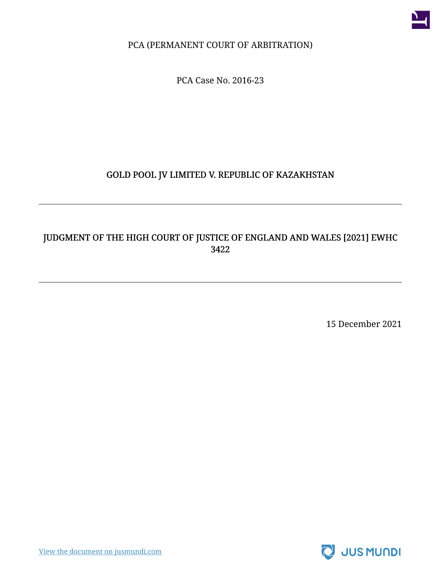

PCA (PERMANENT COURT OF ARBITRATION)

PCA Case No. 2016-23

#### GOLD POOL JV LIMITED V. REPUBLIC OF KAZAKHSTAN

#### JUDGMENT OF THE HIGH COURT OF JUSTICE OF ENGLAND AND WALES [2021] EWHC 3422

15 December 2021

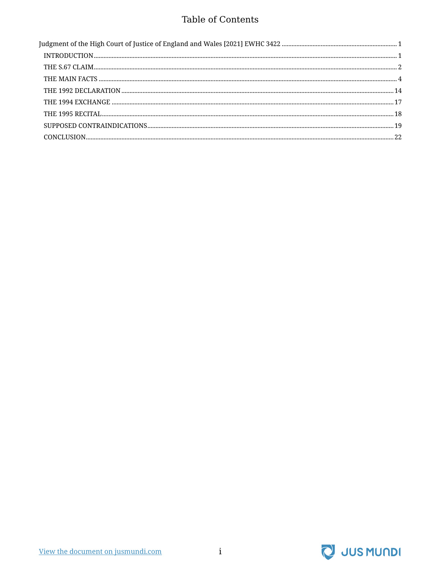#### Table of Contents

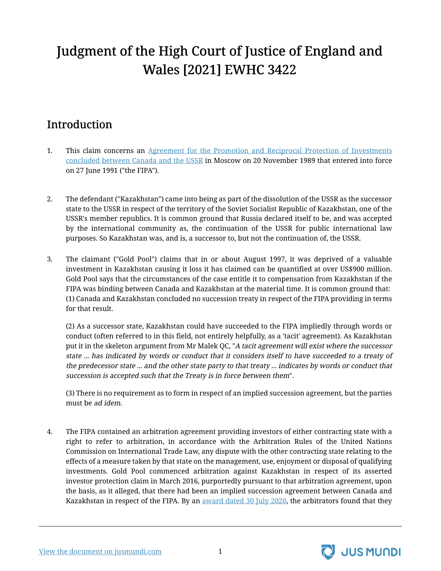# <span id="page-2-0"></span>Judgment of the High Court of Justice of England and Wales [2021] EWHC 3422

## <span id="page-2-1"></span>Introduction

- 1. This claim concerns an [Agreement for the Promotion and Reciprocal Protection of Investments](https://jusmundi.com/en/document/h/ajA4RHY2Mkl4VENYdVB1WFdxV1hJbmMwNzNCVUkvbXpibnlzTnhVOEphb0VVRHc5dVdXamVZamx0aFRIeW1rbFNkU1F6WDBkYUpyeVZDamthOUI4eGNaTHA5V1dLd0NVU2dVbHB5aW84ZGxHSzJIc2NKMEE5WDZwcWFjNFZWZ2xHcStoTnNkS2dvczU2MU1oek5UY0IzMGJscC81Zlh4R29FNFMxRjFZYy9sU2pkQW16ODhVbnFvTC9vUDdRWDF1eXkxb0pQdHlzL2xyK29Ydk9vMWoxNElObTlic2ZEc1VDbXArQ05wSFRXWWhXQ0JwU0NsdEx5WG96RHV3YkdIZkEvQ0ZicXdRdHZBK2VsRHZFRE4wZFV4V2t1Y3FzOVhMUUJoa0NiMGFwMlk9) [concluded between Canada and the USSR](https://jusmundi.com/en/document/h/ajA4RHY2Mkl4VENYdVB1WFdxV1hJbmMwNzNCVUkvbXpibnlzTnhVOEphb0VVRHc5dVdXamVZamx0aFRIeW1rbFNkU1F6WDBkYUpyeVZDamthOUI4eGNaTHA5V1dLd0NVU2dVbHB5aW84ZGxHSzJIc2NKMEE5WDZwcWFjNFZWZ2xHcStoTnNkS2dvczU2MU1oek5UY0IzMGJscC81Zlh4R29FNFMxRjFZYy9sU2pkQW16ODhVbnFvTC9vUDdRWDF1eXkxb0pQdHlzL2xyK29Ydk9vMWoxNElObTlic2ZEc1VDbXArQ05wSFRXWWhXQ0JwU0NsdEx5WG96RHV3YkdIZkEvQ0ZicXdRdHZBK2VsRHZFRE4wZFV4V2t1Y3FzOVhMUUJoa0NiMGFwMlk9) in Moscow on 20 November 1989 that entered into force on 27 June 1991 ("the FIPA").
- 2. The defendant ("Kazakhstan") came into being as part of the dissolution of the USSR as the successor state to the USSR in respect of the territory of the Soviet Socialist Republic of Kazakhstan, one of the USSR's member republics. It is common ground that Russia declared itself to be, and was accepted by the international community as, the continuation of the USSR for public international law purposes. So Kazakhstan was, and is, a successor to, but not the continuation of, the USSR.
- 3. The claimant ("Gold Pool") claims that in or about August 1997, it was deprived of a valuable investment in Kazakhstan causing it loss it has claimed can be quantified at over US\$900 million. Gold Pool says that the circumstances of the case entitle it to compensation from Kazakhstan if the FIPA was binding between Canada and Kazakhstan at the material time. It is common ground that: (1) Canada and Kazakhstan concluded no succession treaty in respect of the FIPA providing in terms for that result.

(2) As a successor state, Kazakhstan could have succeeded to the FIPA impliedly through words or conduct (often referred to in this field, not entirely helpfully, as a 'tacit' agreement). As Kazakhstan put it in the skeleton argument from Mr Malek QC, "A tacit agreement will exist where the successor state ... has indicated by words or conduct that it considers itself to have succeeded to <sup>a</sup> treaty of the predecessor state ... and the other state party to that treaty ... indicates by words or conduct that succession is accepted such that the Treaty is in force between them".

(3) There is no requirement as to form in respect of an implied succession agreement, but the parties must be ad idem.

4. The FIPA contained an arbitration agreement providing investors of either contracting state with a right to refer to arbitration, in accordance with the Arbitration Rules of the United Nations Commission on International Trade Law, any dispute with the other contracting state relating to the effects of a measure taken by that state on the management, use, enjoyment or disposal of qualifying investments. Gold Pool commenced arbitration against Kazakhstan in respect of its asserted investor protection claim in March 2016, purportedly pursuant to that arbitration agreement, upon the basis, as it alleged, that there had been an implied succession agreement between Canada and Kazakhstan in respect of the FIPA. By an [award dated 30 July 2020,](https://jusmundi.com/en/document/h/Njg4Y1JNUHcyN1lra3NQYlZqbTZkdFFTSVA1TjhRd2l1QnRjZUdUaCs2NGZsNnk5SWRwYzI0ckRlQksrSTUraXV3a0dTeU84LzBuNmcvTGxCZ3lwS0VqS3VLTHBsYi9IYU51RGgva0pDbklqMDlyd2JxUy9VaEt4d3o4dVVlUEtoNmZ4SDVVUXFwNm5rNld5ZlNUK1pnPT0=) the arbitrators found that they



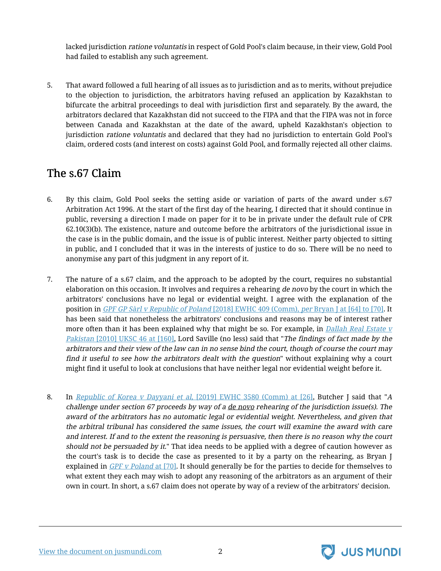lacked jurisdiction ratione voluntatis in respect of Gold Pool's claim because, in their view, Gold Pool had failed to establish any such agreement.

5. That award followed a full hearing of all issues as to jurisdiction and as to merits, without prejudice to the objection to jurisdiction, the arbitrators having refused an application by Kazakhstan to bifurcate the arbitral proceedings to deal with jurisdiction first and separately. By the award, the arbitrators declared that Kazakhstan did not succeed to the FIPA and that the FIPA was not in force between Canada and Kazakhstan at the date of the award, upheld Kazakhstan's objection to jurisdiction ratione voluntatis and declared that they had no jurisdiction to entertain Gold Pool's claim, ordered costs (and interest on costs) against Gold Pool, and formally rejected all other claims.

### <span id="page-3-0"></span>The s.67 Claim

- 6. By this claim, Gold Pool seeks the setting aside or variation of parts of the award under s.67 Arbitration Act 1996. At the start of the first day of the hearing, I directed that it should continue in public, reversing a direction I made on paper for it to be in private under the default rule of CPR 62.10(3)(b). The existence, nature and outcome before the arbitrators of the jurisdictional issue in the case is in the public domain, and the issue is of public interest. Neither party objected to sitting in public, and I concluded that it was in the interests of justice to do so. There will be no need to anonymise any part of this judgment in any report of it.
- 7. The nature of a s.67 claim, and the approach to be adopted by the court, requires no substantial elaboration on this occasion. It involves and requires a rehearing de novo by the court in which the arbitrators' conclusions have no legal or evidential weight. I agree with the explanation of the position in GPF GP Sàrl v Republic of Poland [\[2018\] EWHC 409 \(Comm\),](https://jusmundi.com/en/document/h/angyY04zYzNpeGdvaHFtcDFwMFVjbUNxb3RGSTRMa2JjTnVPd0kxYWxZNE9Ib2tqclJCaWpVemcyTzJrZkhpWUF2TTgzV3I0L2tXeUZTNVJXMUxUeE1GSTUyUVNOQlV4dnFFd3JXRGpyQ3JrZXpDL24vQkkwWThJcjdPaGV5ZkU0UERTNnF6MTZ4ekRUWURUTTllUjJUWThBYjllZTc3eWhZWnBOT2liWUVZPQ==) per Bryan J at [64] to [70]. It has been said that nonetheless the arbitrators' conclusions and reasons may be of interest rather more often than it has been explained why that might be so. For example, in [Dallah](https://jusmundi.com/en/document/h/dHNZdWpWVEhBWVdiOHlQZTY3bDRGM1VFVVB5NnV3SkxyR0trLzFycUZxOG5CKzZvK3pvOWZCc2RzUzNranM3bC9ZQnphTXk5amFIb250Y0FRZms3SWJvWksrQzVQQTlaYVNhUWxXZjN0MStTbmc2UTBpS0JtN1dpNmNGSVQ0YXJudHc5cklvb1Z0YnlROHVPSGNITFFlNWlpWm1UVXhZUlRLdEFhcjhJclR1QjlqOFROOW82OXhhdVFub3A2bmUvM0NtUS9MMmdKWjRGRllVSkZ2cmlVQ3RzazgvUXpxa1RidWxHaEhpL1ZZOGo0aEFMajdCMXJPb094ZG8xZkdPdUJEVDlac2pYVlArVmdZWXV3V2dIVWc9PQ==) Real Estate v Pakistan [\[2010\] UKSC 46 at \[160\],](https://jusmundi.com/en/document/h/dHNZdWpWVEhBWVdiOHlQZTY3bDRGM1VFVVB5NnV3SkxyR0trLzFycUZxOG5CKzZvK3pvOWZCc2RzUzNranM3bC9ZQnphTXk5amFIb250Y0FRZms3SWJvWksrQzVQQTlaYVNhUWxXZjN0MStTbmc2UTBpS0JtN1dpNmNGSVQ0YXJudHc5cklvb1Z0YnlROHVPSGNITFFlNWlpWm1UVXhZUlRLdEFhcjhJclR1QjlqOFROOW82OXhhdVFub3A2bmUvM0NtUS9MMmdKWjRGRllVSkZ2cmlVQ3RzazgvUXpxa1RidWxHaEhpL1ZZOGo0aEFMajdCMXJPb094ZG8xZkdPdUJEVDlac2pYVlArVmdZWXV3V2dIVWc9PQ==) Lord Saville (no less) said that "The findings of fact made by the arbitrators and their view of the law can in no sense bind the court, though of course the court may find it useful to see how the arbitrators dealt with the question" without explaining why a court might find it useful to look at conclusions that have neither legal nor evidential weight before it.
- 8. In Republic of Korea <sup>v</sup> Dayyani et al[, \[2019\] EWHC 3580 \(Comm\) at \[26\],](https://jusmundi.com/en/document/h/Ti9aQnVXSGZrelpkeE96cXcvSnBWaXpRaU81Y3ZCOXJpV3kzbWxUMnVNQ1NRd3RaSkFtYW1ETlpKWnllSFZ2c09Xc3Jnc1dZTWtNN1VVcGkzZ0pmTlg3dmt0ait6eEpUYUxsZzJ0Z1JuQy84TzNpelZEemg2OXJScXRqbUhpTkVOdmI1blZxVUVabnZZanJDZHQzQTBJT3lxMS9LM25JWlRBOGJNMGx0dDJCUHBUZ1huTXYzdFh1eGhpd3cwYTB1L2JWUUQyMEl5cUVqVTl1S3YzcWhMbno3dDM2U0JDY2VSbFAwNmtNc2xXTT0=) Butcher J said that "<sup>A</sup> challenge under section 67 proceeds by way of a de novo rehearing of the jurisdiction issue(s). The award of the arbitrators has no automatic legal or evidential weight. Nevertheless, and given that the arbitral tribunal has considered the same issues, the court will examine the award with care and interest. If and to the extent the reasoning is persuasive, then there is no reason why the court should not be persuaded by it." That idea needs to be applied with a degree of caution however as the court's task is to decide the case as presented to it by a party on the rehearing, as Bryan J explained in GPF v Poland [at \[70\].](https://jusmundi.com/en/document/h/angyY04zYzNpeGdvaHFtcDFwMFVjbUNxb3RGSTRMa2JjTnVPd0kxYWxZNE9Ib2tqclJCaWpVemcyTzJrZkhpWUF2TTgzV3I0L2tXeUZTNVJXMUxUeE1GSTUyUVNOQlV4dnFFd3JXRGpyQ3JrZXpDL24vQkkwWThJcjdPaGV5ZkU0UERTNnF6MTZ4ekRUWURUTTllUjJYVEZRa3ZFOWZxenF4RExRMElsMVFRPQ==) It should generally be for the parties to decide for themselves to what extent they each may wish to adopt any reasoning of the arbitrators as an argument of their own in court. In short, a s.67 claim does not operate by way of a review of the arbitrators' decision.



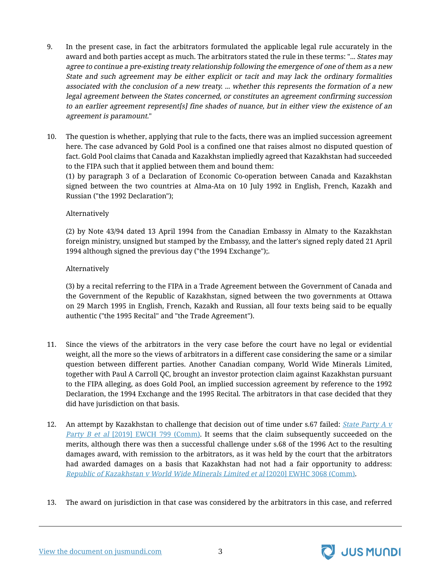- 9. In the present case, in fact the arbitrators formulated the applicable legal rule accurately in the award and both parties accept as much. The arbitrators stated the rule in these terms: "... States may agree to continue <sup>a</sup> pre-existing treaty relationship following the emergence of one of them as <sup>a</sup> new State and such agreement may be either explicit or tacit and may lack the ordinary formalities associated with the conclusion of <sup>a</sup> new treaty. ... whether this represents the formation of <sup>a</sup> new legal agreement between the States concerned, or constitutes an agreement confirming succession to an earlier agreement represent[s] fine shades of nuance, but in either view the existence of an agreement is paramount."
- 10. The question is whether, applying that rule to the facts, there was an implied succession agreement here. The case advanced by Gold Pool is a confined one that raises almost no disputed question of fact. Gold Pool claims that Canada and Kazakhstan impliedly agreed that Kazakhstan had succeeded to the FIPA such that it applied between them and bound them:

(1) by paragraph 3 of a Declaration of Economic Co-operation between Canada and Kazakhstan signed between the two countries at Alma-Ata on 10 July 1992 in English, French, Kazakh and Russian ("the 1992 Declaration");

#### Alternatively

(2) by Note 43/94 dated 13 April 1994 from the Canadian Embassy in Almaty to the Kazakhstan foreign ministry, unsigned but stamped by the Embassy, and the latter's signed reply dated 21 April 1994 although signed the previous day ("the 1994 Exchange");.

#### Alternatively

(3) by a recital referring to the FIPA in a Trade Agreement between the Government of Canada and the Government of the Republic of Kazakhstan, signed between the two governments at Ottawa on 29 March 1995 in English, French, Kazakh and Russian, all four texts being said to be equally authentic ("the 1995 Recital" and "the Trade Agreement").

- 11. Since the views of the arbitrators in the very case before the court have no legal or evidential weight, all the more so the views of arbitrators in a different case considering the same or a similar question between different parties. Another Canadian company, World Wide Minerals Limited, together with Paul A Carroll QC, brought an investor protection claim against Kazakhstan pursuant to the FIPA alleging, as does Gold Pool, an implied succession agreement by reference to the 1992 Declaration, the 1994 Exchange and the 1995 Recital. The arbitrators in that case decided that they did have jurisdiction on that basis.
- 12. An attempt by Kazakhstan to challenge that decision out of time under s.67 failed: <u>State [Party](https://jusmundi.com/en/document/h/bjZxNkx6dFBqTEJSalR1RGltNVErRmpYV2dHSFZnbENCV0tzV3EwWElPL0JwV1NTeCtCamJMWHY2TXpmblpzTmtvc25rOUlBbkowanVENy8vZTZVZkYxU3BHTHdnb25wYUVybUIvUUhiRkQyajRSazFTSnpwbiswTHpXbklzT2h2dWFUZzhUUldKRGlGaEZvSjZ5SFczaCtTMTN1dVJyS2FNc2lrU2VRaFF2SVJsakVzcWQydnAvZE5CcGZlWUNQbVA1MnJSb24vSkhTN1l4cnhOQVVTQT09) A v</u> Party B et al [\[2019\] EWCH 799 \(Comm\).](https://jusmundi.com/en/document/h/bjZxNkx6dFBqTEJSalR1RGltNVErRmpYV2dHSFZnbENCV0tzV3EwWElPL0JwV1NTeCtCamJMWHY2TXpmblpzTmtvc25rOUlBbkowanVENy8vZTZVZkYxU3BHTHdnb25wYUVybUIvUUhiRkQyajRSazFTSnpwbiswTHpXbklzT2h2dWFUZzhUUldKRGlGaEZvSjZ5SFczaCtTMTN1dVJyS2FNc2lrU2VRaFF2SVJsakVzcWQydnAvZE5CcGZlWUNQbVA1MnJSb24vSkhTN1l4cnhOQVVTQT09) It seems that the claim subsequently succeeded on the merits, although there was then a successful challenge under s.68 of the 1996 Act to the resulting damages award, with remission to the arbitrators, as it was held by the court that the arbitrators had awarded damages on a basis that Kazakhstan had not had a fair opportunity to address: [Republic of Kazakhstan v World Wide Minerals Limited et al](https://jusmundi.com/en/document/h/bjZxNkx6dFBqTEJSalR1RGltNVErRmpYV2dHSFZnbENCV0tzV3EwWElPL0JwV1NTeCtCamJMWHY2TXpmblpzTmtvc25rOUlBbkowanVENy8vZTZVZkYxU3BHTHdnb25wYUVybUIvUUhiRkQyajRSazFTSnpwbiswTHpXbklzT2h2dWFUZzhUUldKRGlGaEZvSjZ5SFc0cnFucTZpL0pCdWlVK2ppYzlJRk1XQ1BRS3FnR3cyS3Z4L1R6M3RIbnVjalNIcXl3Tkt0Q2tJLzkyQjBhcDQySzIyZDdmVU9rNktVc3ZDSTVVclNYRT0=) [2020] EWHC 3068 (Comm).
- 13. The award on jurisdiction in that case was considered by the arbitrators in this case, and referred



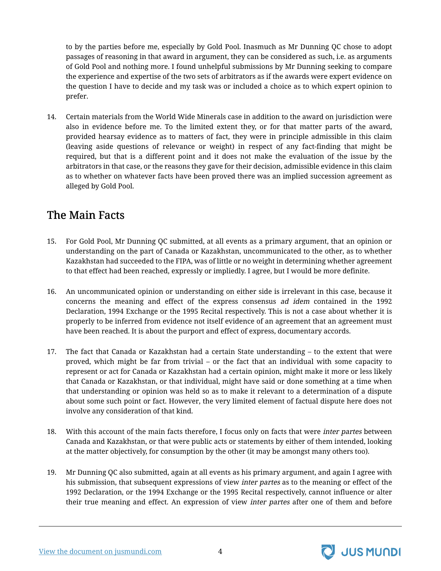to by the parties before me, especially by Gold Pool. Inasmuch as Mr Dunning QC chose to adopt passages of reasoning in that award in argument, they can be considered as such, i.e. as arguments of Gold Pool and nothing more. I found unhelpful submissions by Mr Dunning seeking to compare the experience and expertise of the two sets of arbitrators as if the awards were expert evidence on the question I have to decide and my task was or included a choice as to which expert opinion to prefer.

14. Certain materials from the World Wide Minerals case in addition to the award on jurisdiction were also in evidence before me. To the limited extent they, or for that matter parts of the award, provided hearsay evidence as to matters of fact, they were in principle admissible in this claim (leaving aside questions of relevance or weight) in respect of any fact-finding that might be required, but that is a different point and it does not make the evaluation of the issue by the arbitrators in that case, or the reasons they gave for their decision, admissible evidence in this claim as to whether on whatever facts have been proved there was an implied succession agreement as alleged by Gold Pool.

## <span id="page-5-0"></span>The Main Facts

- 15. For Gold Pool, Mr Dunning QC submitted, at all events as a primary argument, that an opinion or understanding on the part of Canada or Kazakhstan, uncommunicated to the other, as to whether Kazakhstan had succeeded to the FIPA, was of little or no weight in determining whether agreement to that effect had been reached, expressly or impliedly. I agree, but I would be more definite.
- 16. An uncommunicated opinion or understanding on either side is irrelevant in this case, because it concerns the meaning and effect of the express consensus ad idem contained in the 1992 Declaration, 1994 Exchange or the 1995 Recital respectively. This is not a case about whether it is properly to be inferred from evidence not itself evidence of an agreement that an agreement must have been reached. It is about the purport and effect of express, documentary accords.
- 17. The fact that Canada or Kazakhstan had a certain State understanding to the extent that were proved, which might be far from trivial – or the fact that an individual with some capacity to represent or act for Canada or Kazakhstan had a certain opinion, might make it more or less likely that Canada or Kazakhstan, or that individual, might have said or done something at a time when that understanding or opinion was held so as to make it relevant to a determination of a dispute about some such point or fact. However, the very limited element of factual dispute here does not involve any consideration of that kind.
- 18. With this account of the main facts therefore, I focus only on facts that were *inter partes* between Canada and Kazakhstan, or that were public acts or statements by either of them intended, looking at the matter objectively, for consumption by the other (it may be amongst many others too).
- 19. Mr Dunning QC also submitted, again at all events as his primary argument, and again I agree with his submission, that subsequent expressions of view inter partes as to the meaning or effect of the 1992 Declaration, or the 1994 Exchange or the 1995 Recital respectively, cannot influence or alter their true meaning and effect. An expression of view *inter partes* after one of them and before



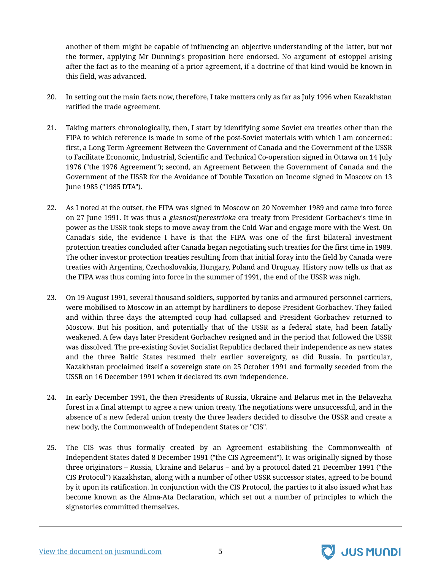another of them might be capable of influencing an objective understanding of the latter, but not the former, applying Mr Dunning's proposition here endorsed. No argument of estoppel arising after the fact as to the meaning of a prior agreement, if a doctrine of that kind would be known in this field, was advanced.

- 20. In setting out the main facts now, therefore, I take matters only as far as July 1996 when Kazakhstan ratified the trade agreement.
- 21. Taking matters chronologically, then, I start by identifying some Soviet era treaties other than the FIPA to which reference is made in some of the post-Soviet materials with which I am concerned: first, a Long Term Agreement Between the Government of Canada and the Government of the USSR to Facilitate Economic, Industrial, Scientific and Technical Co-operation signed in Ottawa on 14 July 1976 ("the 1976 Agreement"); second, an Agreement Between the Government of Canada and the Government of the USSR for the Avoidance of Double Taxation on Income signed in Moscow on 13 June 1985 ("1985 DTA").
- 22. As I noted at the outset, the FIPA was signed in Moscow on 20 November 1989 and came into force on 27 June 1991. It was thus a glasnost/perestrioka era treaty from President Gorbachev's time in power as the USSR took steps to move away from the Cold War and engage more with the West. On Canada's side, the evidence I have is that the FIPA was one of the first bilateral investment protection treaties concluded after Canada began negotiating such treaties for the first time in 1989. The other investor protection treaties resulting from that initial foray into the field by Canada were treaties with Argentina, Czechoslovakia, Hungary, Poland and Uruguay. History now tells us that as the FIPA was thus coming into force in the summer of 1991, the end of the USSR was nigh.
- 23. On 19 August 1991, several thousand soldiers, supported by tanks and armoured personnel carriers, were mobilised to Moscow in an attempt by hardliners to depose President Gorbachev. They failed and within three days the attempted coup had collapsed and President Gorbachev returned to Moscow. But his position, and potentially that of the USSR as a federal state, had been fatally weakened. A few days later President Gorbachev resigned and in the period that followed the USSR was dissolved. The pre-existing Soviet Socialist Republics declared their independence as new states and the three Baltic States resumed their earlier sovereignty, as did Russia. In particular, Kazakhstan proclaimed itself a sovereign state on 25 October 1991 and formally seceded from the USSR on 16 December 1991 when it declared its own independence.
- 24. In early December 1991, the then Presidents of Russia, Ukraine and Belarus met in the Belavezha forest in a final attempt to agree a new union treaty. The negotiations were unsuccessful, and in the absence of a new federal union treaty the three leaders decided to dissolve the USSR and create a new body, the Commonwealth of Independent States or "CIS".
- 25. The CIS was thus formally created by an Agreement establishing the Commonwealth of Independent States dated 8 December 1991 ("the CIS Agreement"). It was originally signed by those three originators – Russia, Ukraine and Belarus – and by a protocol dated 21 December 1991 ("the CIS Protocol") Kazakhstan, along with a number of other USSR successor states, agreed to be bound by it upon its ratification. In conjunction with the CIS Protocol, the parties to it also issued what has become known as the Alma-Ata Declaration, which set out a number of principles to which the signatories committed themselves.



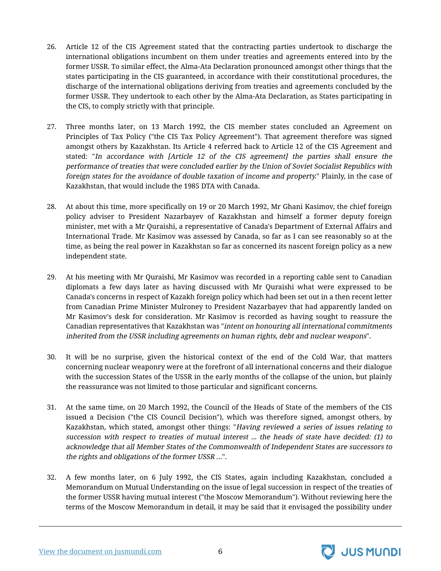- 26. Article 12 of the CIS Agreement stated that the contracting parties undertook to discharge the international obligations incumbent on them under treaties and agreements entered into by the former USSR. To similar effect, the Alma-Ata Declaration pronounced amongst other things that the states participating in the CIS guaranteed, in accordance with their constitutional procedures, the discharge of the international obligations deriving from treaties and agreements concluded by the former USSR. They undertook to each other by the Alma-Ata Declaration, as States participating in the CIS, to comply strictly with that principle.
- 27. Three months later, on 13 March 1992, the CIS member states concluded an Agreement on Principles of Tax Policy ("the CIS Tax Policy Agreement"). That agreement therefore was signed amongst others by Kazakhstan. Its Article 4 referred back to Article 12 of the CIS Agreement and stated: "In accordance with [Article 12 of the CIS agreement] the parties shall ensure the performance of treaties that were concluded earlier by the Union of Soviet Socialist Republics with foreign states for the avoidance of double taxation of income and property." Plainly, in the case of Kazakhstan, that would include the 1985 DTA with Canada.
- 28. At about this time, more specifically on 19 or 20 March 1992, Mr Ghani Kasimov, the chief foreign policy adviser to President Nazarbayev of Kazakhstan and himself a former deputy foreign minister, met with a Mr Quraishi, a representative of Canada's Department of External Affairs and International Trade. Mr Kasimov was assessed by Canada, so far as I can see reasonably so at the time, as being the real power in Kazakhstan so far as concerned its nascent foreign policy as a new independent state.
- 29. At his meeting with Mr Quraishi, Mr Kasimov was recorded in a reporting cable sent to Canadian diplomats a few days later as having discussed with Mr Quraishi what were expressed to be Canada's concerns in respect of Kazakh foreign policy which had been set out in a then recent letter from Canadian Prime Minister Mulroney to President Nazarbayev that had apparently landed on Mr Kasimov's desk for consideration. Mr Kasimov is recorded as having sought to reassure the Canadian representatives that Kazakhstan was "intent on honouring all international commitments inherited from the USSR including agreements on human rights, debt and nuclear weapons".
- 30. It will be no surprise, given the historical context of the end of the Cold War, that matters concerning nuclear weaponry were at the forefront of all international concerns and their dialogue with the succession States of the USSR in the early months of the collapse of the union, but plainly the reassurance was not limited to those particular and significant concerns.
- 31. At the same time, on 20 March 1992, the Council of the Heads of State of the members of the CIS issued a Decision ("the CIS Council Decision"), which was therefore signed, amongst others, by Kazakhstan, which stated, amongst other things: "Having reviewed a series of issues relating to succession with respect to treaties of mutual interest ... the heads of state have decided: (1) to acknowledge that all Member States of the Commonwealth of Independent States are successors to the rights and obligations of the former USSR …".
- 32. A few months later, on 6 July 1992, the CIS States, again including Kazakhstan, concluded a Memorandum on Mutual Understanding on the issue of legal succession in respect of the treaties of the former USSR having mutual interest ("the Moscow Memorandum"). Without reviewing here the terms of the Moscow Memorandum in detail, it may be said that it envisaged the possibility under

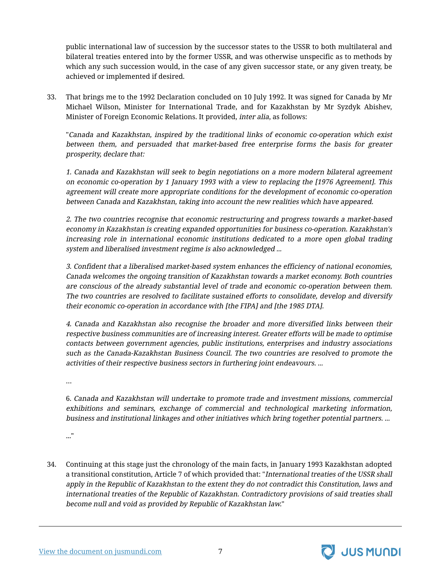public international law of succession by the successor states to the USSR to both multilateral and bilateral treaties entered into by the former USSR, and was otherwise unspecific as to methods by which any such succession would, in the case of any given successor state, or any given treaty, be achieved or implemented if desired.

33. That brings me to the 1992 Declaration concluded on 10 July 1992. It was signed for Canada by Mr Michael Wilson, Minister for International Trade, and for Kazakhstan by Mr Syzdyk Abishev, Minister of Foreign Economic Relations. It provided, inter alia, as follows:

"Canada and Kazakhstan, inspired by the traditional links of economic co-operation which exist between them, and persuaded that market-based free enterprise forms the basis for greater prosperity, declare that:

1. Canada and Kazakhstan will seek to begin negotiations on <sup>a</sup> more modern bilateral agreement on economic co-operation by 1 January 1993 with <sup>a</sup> view to replacing the [1976 Agreement]. This agreement will create more appropriate conditions for the development of economic co-operation between Canada and Kazakhstan, taking into account the new realities which have appeared.

2. The two countries recognise that economic restructuring and progress towards <sup>a</sup> market-based economy in Kazakhstan is creating expanded opportunities for business co-operation. Kazakhstan's increasing role in international economic institutions dedicated to <sup>a</sup> more open global trading system and liberalised investment regime is also acknowledged ...

3. Confident that <sup>a</sup> liberalised market-based system enhances the efficiency of national economies, Canada welcomes the ongoing transition of Kazakhstan towards <sup>a</sup> market economy. Both countries are conscious of the already substantial level of trade and economic co-operation between them. The two countries are resolved to facilitate sustained efforts to consolidate, develop and diversify their economic co-operation in accordance with [the FIPA] and [the 1985 DTA].

4. Canada and Kazakhstan also recognise the broader and more diversified links between their respective business communities are of increasing interest. Greater efforts will be made to optimise contacts between government agencies, public institutions, enterprises and industry associations such as the Canada-Kazakhstan Business Council. The two countries are resolved to promote the activities of their respective business sectors in furthering joint endeavours. ...

…

6. Canada and Kazakhstan will undertake to promote trade and investment missions, commercial exhibitions and seminars, exchange of commercial and technological marketing information, business and institutional linkages and other initiatives which bring together potential partners. ...

..."

34. Continuing at this stage just the chronology of the main facts, in January 1993 Kazakhstan adopted a transitional constitution, Article 7 of which provided that: "International treaties of the USSR shall apply in the Republic of Kazakhstan to the extent they do not contradict this Constitution, laws and international treaties of the Republic of Kazakhstan. Contradictory provisions of said treaties shall become null and void as provided by Republic of Kazakhstan law."



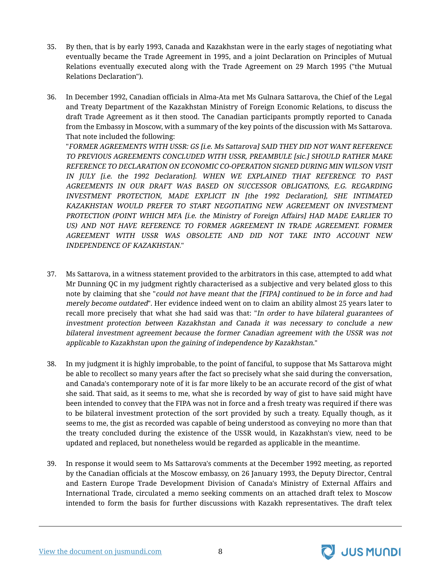- 35. By then, that is by early 1993, Canada and Kazakhstan were in the early stages of negotiating what eventually became the Trade Agreement in 1995, and a joint Declaration on Principles of Mutual Relations eventually executed along with the Trade Agreement on 29 March 1995 ("the Mutual Relations Declaration").
- 36. In December 1992, Canadian officials in Alma-Ata met Ms Gulnara Sattarova, the Chief of the Legal and Treaty Department of the Kazakhstan Ministry of Foreign Economic Relations, to discuss the draft Trade Agreement as it then stood. The Canadian participants promptly reported to Canada from the Embassy in Moscow, with a summary of the key points of the discussion with Ms Sattarova. That note included the following: "FORMER AGREEMENTS WITH USSR: GS [i.e. Ms Sattarova] SAID THEY DID NOT WANT REFERENCE TO PREVIOUS AGREEMENTS CONCLUDED WITH USSR, PREAMBULE [sic.] SHOULD RATHER MAKE REFERENCE TO DECLARATION ON ECONOMIC CO-OPERATION SIGNED DURING MIN WILSON VISIT IN JULY [i.e. the 1992 Declaration]. WHEN WE EXPLAINED THAT REFERENCE TO PAST AGREEMENTS IN OUR DRAFT WAS BASED ON SUCCESSOR OBLIGATIONS, E.G. REGARDING INVESTMENT PROTECTION, MADE EXPLICIT IN [the 1992 Declaration], SHE INTIMATED KAZAKHSTAN WOULD PREFER TO START NEGOTIATING NEW AGREEMENT ON INVESTMENT

PROTECTION (POINT WHICH MFA [i.e. the Ministry of Foreign Affairs] HAD MADE EARLIER TO US) AND NOT HAVE REFERENCE TO FORMER AGREEMENT IN TRADE AGREEMENT. FORMER AGREEMENT WITH USSR WAS OBSOLETE AND DID NOT TAKE INTO ACCOUNT NEW INDEPENDENCE OF KAZAKHSTAN."

- 37. Ms Sattarova, in a witness statement provided to the arbitrators in this case, attempted to add what Mr Dunning QC in my judgment rightly characterised as a subjective and very belated gloss to this note by claiming that she "could not have meant that the [FIPA] continued to be in force and had merely become outdated". Her evidence indeed went on to claim an ability almost 25 years later to recall more precisely that what she had said was that: "In order to have bilateral guarantees of investment protection between Kazakhstan and Canada it was necessary to conclude <sup>a</sup> new bilateral investment agreement because the former Canadian agreement with the USSR was not applicable to Kazakhstan upon the gaining of independence by Kazakhstan."
- 38. In my judgment it is highly improbable, to the point of fanciful, to suppose that Ms Sattarova might be able to recollect so many years after the fact so precisely what she said during the conversation, and Canada's contemporary note of it is far more likely to be an accurate record of the gist of what she said. That said, as it seems to me, what she is recorded by way of gist to have said might have been intended to convey that the FIPA was not in force and a fresh treaty was required if there was to be bilateral investment protection of the sort provided by such a treaty. Equally though, as it seems to me, the gist as recorded was capable of being understood as conveying no more than that the treaty concluded during the existence of the USSR would, in Kazakhstan's view, need to be updated and replaced, but nonetheless would be regarded as applicable in the meantime.
- 39. In response it would seem to Ms Sattarova's comments at the December 1992 meeting, as reported by the Canadian officials at the Moscow embassy, on 26 January 1993, the Deputy Director, Central and Eastern Europe Trade Development Division of Canada's Ministry of External Affairs and International Trade, circulated a memo seeking comments on an attached draft telex to Moscow intended to form the basis for further discussions with Kazakh representatives. The draft telex

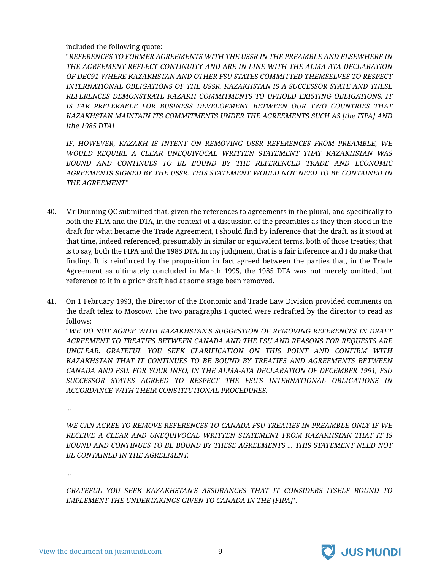#### included the following quote:

"REFERENCES TO FORMER AGREEMENTS WITH THE USSR IN THE PREAMBLE AND ELSEWHERE IN THE AGREEMENT REFLECT CONTINUITY AND ARE IN LINE WITH THE ALMA-ATA DECLARATION OF DEC91 WHERE KAZAKHSTAN AND OTHER FSU STATES COMMITTED THEMSELVES TO RESPECT INTERNATIONAL OBLIGATIONS OF THE USSR. KAZAKHSTAN IS A SUCCESSOR STATE AND THESE REFERENCES DEMONSTRATE KAZAKH COMMITMENTS TO UPHOLD EXISTING OBLIGATIONS. IT IS FAR PREFERABLE FOR BUSINESS DEVELOPMENT BETWEEN OUR TWO COUNTRIES THAT KAZAKHSTAN MAINTAIN ITS COMMITMENTS UNDER THE AGREEMENTS SUCH AS [the FIPA] AND [the 1985 DTA]

IF, HOWEVER, KAZAKH IS INTENT ON REMOVING USSR REFERENCES FROM PREAMBLE, WE WOULD REQUIRE A CLEAR UNEQUIVOCAL WRITTEN STATEMENT THAT KAZAKHSTAN WAS BOUND AND CONTINUES TO BE BOUND BY THE REFERENCED TRADE AND ECONOMIC AGREEMENTS SIGNED BY THE USSR. THIS STATEMENT WOULD NOT NEED TO BE CONTAINED IN THE AGREEMENT."

- 40. Mr Dunning QC submitted that, given the references to agreements in the plural, and specifically to both the FIPA and the DTA, in the context of a discussion of the preambles as they then stood in the draft for what became the Trade Agreement, I should find by inference that the draft, as it stood at that time, indeed referenced, presumably in similar or equivalent terms, both of those treaties; that is to say, both the FIPA and the 1985 DTA. In my judgment, that is a fair inference and I do make that finding. It is reinforced by the proposition in fact agreed between the parties that, in the Trade Agreement as ultimately concluded in March 1995, the 1985 DTA was not merely omitted, but reference to it in a prior draft had at some stage been removed.
- 41. On 1 February 1993, the Director of the Economic and Trade Law Division provided comments on the draft telex to Moscow. The two paragraphs I quoted were redrafted by the director to read as follows:

"WE DO NOT AGREE WITH KAZAKHSTAN'S SUGGESTION OF REMOVING REFERENCES IN DRAFT AGREEMENT TO TREATIES BETWEEN CANADA AND THE FSU AND REASONS FOR REQUESTS ARE UNCLEAR. GRATEFUL YOU SEEK CLARIFICATION ON THIS POINT AND CONFIRM WITH KAZAKHSTAN THAT IT CONTINUES TO BE BOUND BY TREATIES AND AGREEMENTS BETWEEN CANADA AND FSU. FOR YOUR INFO, IN THE ALMA-ATA DECLARATION OF DECEMBER 1991, FSU SUCCESSOR STATES AGREED TO RESPECT THE FSU'S INTERNATIONAL OBLIGATIONS IN ACCORDANCE WITH THEIR CONSTITUTIONAL PROCEDURES.

...

WE CAN AGREE TO REMOVE REFERENCES TO CANADA-FSU TREATIES IN PREAMBLE ONLY IF WE RECEIVE A CLEAR AND UNEQUIVOCAL WRITTEN STATEMENT FROM KAZAKHSTAN THAT IT IS BOUND AND CONTINUES TO BE BOUND BY THESE AGREEMENTS ... THIS STATEMENT NEED NOT BE CONTAINED IN THE AGREEMENT.

...

GRATEFUL YOU SEEK KAZAKHSTAN'S ASSURANCES THAT IT CONSIDERS ITSELF BOUND TO IMPLEMENT THE UNDERTAKINGS GIVEN TO CANADA IN THE [FIPA]".

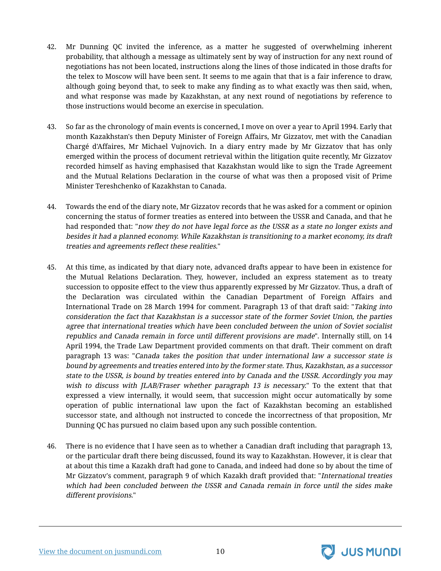- 42. Mr Dunning QC invited the inference, as a matter he suggested of overwhelming inherent probability, that although a message as ultimately sent by way of instruction for any next round of negotiations has not been located, instructions along the lines of those indicated in those drafts for the telex to Moscow will have been sent. It seems to me again that that is a fair inference to draw, although going beyond that, to seek to make any finding as to what exactly was then said, when, and what response was made by Kazakhstan, at any next round of negotiations by reference to those instructions would become an exercise in speculation.
- 43. So far as the chronology of main events is concerned, I move on over a year to April 1994. Early that month Kazakhstan's then Deputy Minister of Foreign Affairs, Mr Gizzatov, met with the Canadian Chargé d'Affaires, Mr Michael Vujnovich. In a diary entry made by Mr Gizzatov that has only emerged within the process of document retrieval within the litigation quite recently, Mr Gizzatov recorded himself as having emphasised that Kazakhstan would like to sign the Trade Agreement and the Mutual Relations Declaration in the course of what was then a proposed visit of Prime Minister Tereshchenko of Kazakhstan to Canada.
- 44. Towards the end of the diary note, Mr Gizzatov records that he was asked for a comment or opinion concerning the status of former treaties as entered into between the USSR and Canada, and that he had responded that: "now they do not have legal force as the USSR as a state no longer exists and besides it had <sup>a</sup> planned economy. While Kazakhstan is transitioning to <sup>a</sup> market economy, its draft treaties and agreements reflect these realities."
- 45. At this time, as indicated by that diary note, advanced drafts appear to have been in existence for the Mutual Relations Declaration. They, however, included an express statement as to treaty succession to opposite effect to the view thus apparently expressed by Mr Gizzatov. Thus, a draft of the Declaration was circulated within the Canadian Department of Foreign Affairs and International Trade on 28 March 1994 for comment. Paragraph 13 of that draft said: "Taking into consideration the fact that Kazakhstan is <sup>a</sup> successor state of the former Soviet Union, the parties agree that international treaties which have been concluded between the union of Soviet socialist republics and Canada remain in force until different provisions are made". Internally still, on 14 April 1994, the Trade Law Department provided comments on that draft. Their comment on draft paragraph 13 was: "Canada takes the position that under international law <sup>a</sup> successor state is bound by agreements and treaties entered into by the former state. Thus, Kazakhstan, as <sup>a</sup> successor state to the USSR, is bound by treaties entered into by Canada and the USSR. Accordingly you may wish to discuss with *JLAB*/Fraser whether paragraph 13 is necessary." To the extent that that expressed a view internally, it would seem, that succession might occur automatically by some operation of public international law upon the fact of Kazakhstan becoming an established successor state, and although not instructed to concede the incorrectness of that proposition, Mr Dunning QC has pursued no claim based upon any such possible contention.
- 46. There is no evidence that I have seen as to whether a Canadian draft including that paragraph 13, or the particular draft there being discussed, found its way to Kazakhstan. However, it is clear that at about this time a Kazakh draft had gone to Canada, and indeed had done so by about the time of Mr Gizzatov's comment, paragraph 9 of which Kazakh draft provided that: "International treaties which had been concluded between the USSR and Canada remain in force until the sides make different provisions."



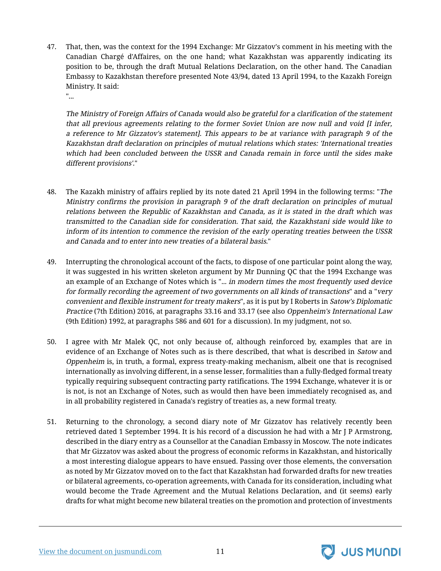47. That, then, was the context for the 1994 Exchange: Mr Gizzatov's comment in his meeting with the Canadian Chargé d'Affaires, on the one hand; what Kazakhstan was apparently indicating its position to be, through the draft Mutual Relations Declaration, on the other hand. The Canadian Embassy to Kazakhstan therefore presented Note 43/94, dated 13 April 1994, to the Kazakh Foreign Ministry. It said: "...

The Ministry of Foreign Affairs of Canada would also be grateful for <sup>a</sup> clarification of the statement that all previous agreements relating to the former Soviet Union are now null and void [I infer, <sup>a</sup> reference to Mr Gizzatov's statement]. This appears to be at variance with paragraph 9 of the Kazakhstan draft declaration on principles of mutual relations which states: 'International treaties which had been concluded between the USSR and Canada remain in force until the sides make different provisions'."

- 48. The Kazakh ministry of affairs replied by its note dated 21 April 1994 in the following terms: "The Ministry confirms the provision in paragraph 9 of the draft declaration on principles of mutual relations between the Republic of Kazakhstan and Canada, as it is stated in the draft which was transmitted to the Canadian side for consideration. That said, the Kazakhstani side would like to inform of its intention to commence the revision of the early operating treaties between the USSR and Canada and to enter into new treaties of a bilateral basis."
- 49. Interrupting the chronological account of the facts, to dispose of one particular point along the way, it was suggested in his written skeleton argument by Mr Dunning QC that the 1994 Exchange was an example of an Exchange of Notes which is "... in modern times the most frequently used device for formally recording the agreement of two governments on all kinds of transactions" and a "very convenient and flexible instrument for treaty makers", as it is put by I Roberts in Satow's Diplomatic Practice (7th Edition) 2016, at paragraphs 33.16 and 33.17 (see also Oppenheim's International Law (9th Edition) 1992, at paragraphs 586 and 601 for a discussion). In my judgment, not so.
- 50. I agree with Mr Malek QC, not only because of, although reinforced by, examples that are in evidence of an Exchange of Notes such as is there described, that what is described in Satow and Oppenheim is, in truth, a formal, express treaty-making mechanism, albeit one that is recognised internationally as involving different, in a sense lesser, formalities than a fully-fledged formal treaty typically requiring subsequent contracting party ratifications. The 1994 Exchange, whatever it is or is not, is not an Exchange of Notes, such as would then have been immediately recognised as, and in all probability registered in Canada's registry of treaties as, a new formal treaty.
- 51. Returning to the chronology, a second diary note of Mr Gizzatov has relatively recently been retrieved dated 1 September 1994. It is his record of a discussion he had with a Mr J P Armstrong, described in the diary entry as a Counsellor at the Canadian Embassy in Moscow. The note indicates that Mr Gizzatov was asked about the progress of economic reforms in Kazakhstan, and historically a most interesting dialogue appears to have ensued. Passing over those elements, the conversation as noted by Mr Gizzatov moved on to the fact that Kazakhstan had forwarded drafts for new treaties or bilateral agreements, co-operation agreements, with Canada for its consideration, including what would become the Trade Agreement and the Mutual Relations Declaration, and (it seems) early drafts for what might become new bilateral treaties on the promotion and protection of investments



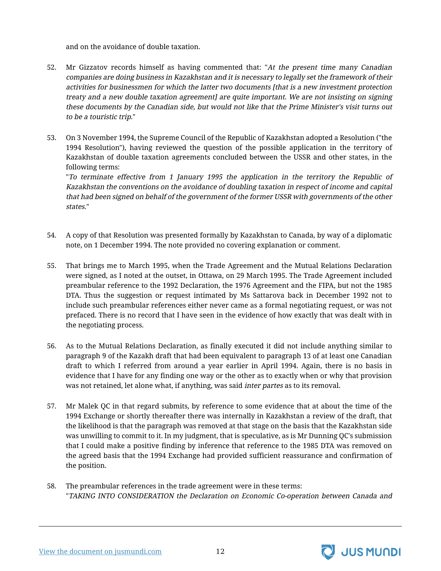and on the avoidance of double taxation.

- 52. Mr Gizzatov records himself as having commented that: "At the present time many Canadian companies are doing business in Kazakhstan and it is necessary to legally set the framework of their activities for businessmen for which the latter two documents [that is <sup>a</sup> new investment protection treaty and <sup>a</sup> new double taxation agreement] are quite important. We are not insisting on signing these documents by the Canadian side, but would not like that the Prime Minister's visit turns out to be a touristic trip."
- 53. On 3 November 1994, the Supreme Council of the Republic of Kazakhstan adopted a Resolution ("the 1994 Resolution"), having reviewed the question of the possible application in the territory of Kazakhstan of double taxation agreements concluded between the USSR and other states, in the following terms:

"To terminate effective from 1 January 1995 the application in the territory the Republic of Kazakhstan the conventions on the avoidance of doubling taxation in respect of income and capital that had been signed on behalf of the government of the former USSR with governments of the other states."

- 54. A copy of that Resolution was presented formally by Kazakhstan to Canada, by way of a diplomatic note, on 1 December 1994. The note provided no covering explanation or comment.
- 55. That brings me to March 1995, when the Trade Agreement and the Mutual Relations Declaration were signed, as I noted at the outset, in Ottawa, on 29 March 1995. The Trade Agreement included preambular reference to the 1992 Declaration, the 1976 Agreement and the FIPA, but not the 1985 DTA. Thus the suggestion or request intimated by Ms Sattarova back in December 1992 not to include such preambular references either never came as a formal negotiating request, or was not prefaced. There is no record that I have seen in the evidence of how exactly that was dealt with in the negotiating process.
- 56. As to the Mutual Relations Declaration, as finally executed it did not include anything similar to paragraph 9 of the Kazakh draft that had been equivalent to paragraph 13 of at least one Canadian draft to which I referred from around a year earlier in April 1994. Again, there is no basis in evidence that I have for any finding one way or the other as to exactly when or why that provision was not retained, let alone what, if anything, was said *inter partes* as to its removal.
- 57. Mr Malek QC in that regard submits, by reference to some evidence that at about the time of the 1994 Exchange or shortly thereafter there was internally in Kazakhstan a review of the draft, that the likelihood is that the paragraph was removed at that stage on the basis that the Kazakhstan side was unwilling to commit to it. In my judgment, that is speculative, as is Mr Dunning QC's submission that I could make a positive finding by inference that reference to the 1985 DTA was removed on the agreed basis that the 1994 Exchange had provided sufficient reassurance and confirmation of the position.
- 58. The preambular references in the trade agreement were in these terms: "TAKING INTO CONSIDERATION the Declaration on Economic Co-operation between Canada and



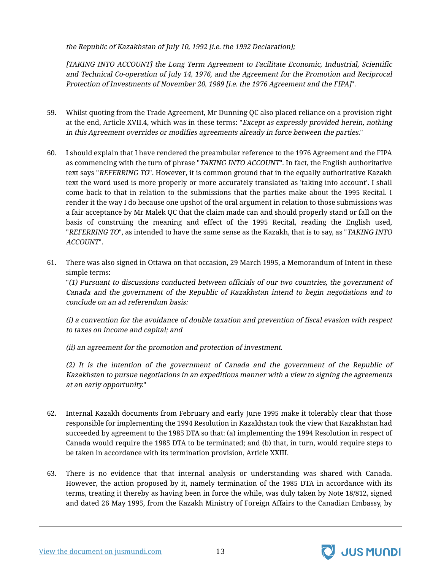the Republic of Kazakhstan of July 10, 1992 [i.e. the 1992 Declaration];

[TAKING INTO ACCOUNT] the Long Term Agreement to Facilitate Economic, Industrial, Scientific and Technical Co-operation of July 14, 1976, and the Agreement for the Promotion and Reciprocal Protection of Investments of November 20, 1989 [i.e. the 1976 Agreement and the FIPA]".

- 59. Whilst quoting from the Trade Agreement, Mr Dunning QC also placed reliance on a provision right at the end, Article XVII.4, which was in these terms: "Except as expressly provided herein, nothing in this Agreement overrides or modifies agreements already in force between the parties."
- 60. I should explain that I have rendered the preambular reference to the 1976 Agreement and the FIPA as commencing with the turn of phrase "TAKING INTO ACCOUNT". In fact, the English authoritative text says "REFERRING TO". However, it is common ground that in the equally authoritative Kazakh text the word used is more properly or more accurately translated as 'taking into account'. I shall come back to that in relation to the submissions that the parties make about the 1995 Recital. I render it the way I do because one upshot of the oral argument in relation to those submissions was a fair acceptance by Mr Malek QC that the claim made can and should properly stand or fall on the basis of construing the meaning and effect of the 1995 Recital, reading the English used, "REFERRING TO", as intended to have the same sense as the Kazakh, that is to say, as "TAKING INTO" ACCOUNT".
- 61. There was also signed in Ottawa on that occasion, 29 March 1995, a Memorandum of Intent in these simple terms:

"(1) Pursuant to discussions conducted between officials of our two countries, the government of Canada and the government of the Republic of Kazakhstan intend to begin negotiations and to conclude on an ad referendum basis:

(i) <sup>a</sup> convention for the avoidance of double taxation and prevention of fiscal evasion with respect to taxes on income and capital; and

(ii) an agreement for the promotion and protection of investment.

(2) It is the intention of the government of Canada and the government of the Republic of Kazakhstan to pursue negotiations in an expeditious manner with <sup>a</sup> view to signing the agreements at an early opportunity."

- 62. Internal Kazakh documents from February and early June 1995 make it tolerably clear that those responsible for implementing the 1994 Resolution in Kazakhstan took the view that Kazakhstan had succeeded by agreement to the 1985 DTA so that: (a) implementing the 1994 Resolution in respect of Canada would require the 1985 DTA to be terminated; and (b) that, in turn, would require steps to be taken in accordance with its termination provision, Article XXIII.
- 63. There is no evidence that that internal analysis or understanding was shared with Canada. However, the action proposed by it, namely termination of the 1985 DTA in accordance with its terms, treating it thereby as having been in force the while, was duly taken by Note 18/812, signed and dated 26 May 1995, from the Kazakh Ministry of Foreign Affairs to the Canadian Embassy, by

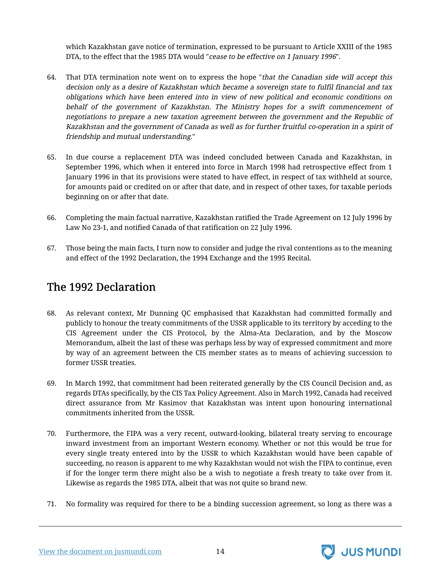which Kazakhstan gave notice of termination, expressed to be pursuant to Article XXIII of the 1985 DTA, to the effect that the 1985 DTA would "cease to be effective on 1 January 1996".

- 64. That DTA termination note went on to express the hope "that the Canadian side will accept this decision only as <sup>a</sup> desire of Kazakhstan which became <sup>a</sup> sovereign state to fulfil financial and tax obligations which have been entered into in view of new political and economic conditions on behalf of the government of Kazakhstan. The Ministry hopes for <sup>a</sup> swift commencement of negotiations to prepare <sup>a</sup> new taxation agreement between the government and the Republic of Kazakhstan and the government of Canada as well as for further fruitful co-operation in <sup>a</sup> spirit of friendship and mutual understanding."
- 65. In due course a replacement DTA was indeed concluded between Canada and Kazakhstan, in September 1996, which when it entered into force in March 1998 had retrospective effect from 1 January 1996 in that its provisions were stated to have effect, in respect of tax withheld at source, for amounts paid or credited on or after that date, and in respect of other taxes, for taxable periods beginning on or after that date.
- 66. Completing the main factual narrative, Kazakhstan ratified the Trade Agreement on 12 July 1996 by Law No 23-1, and notified Canada of that ratification on 22 July 1996.
- 67. Those being the main facts, I turn now to consider and judge the rival contentions as to the meaning and effect of the 1992 Declaration, the 1994 Exchange and the 1995 Recital.

#### <span id="page-15-0"></span>The 1992 Declaration

- 68. As relevant context, Mr Dunning QC emphasised that Kazakhstan had committed formally and publicly to honour the treaty commitments of the USSR applicable to its territory by acceding to the CIS Agreement under the CIS Protocol, by the Alma-Ata Declaration, and by the Moscow Memorandum, albeit the last of these was perhaps less by way of expressed commitment and more by way of an agreement between the CIS member states as to means of achieving succession to former USSR treaties.
- 69. In March 1992, that commitment had been reiterated generally by the CIS Council Decision and, as regards DTAs specifically, by the CIS Tax Policy Agreement. Also in March 1992, Canada had received direct assurance from Mr Kasimov that Kazakhstan was intent upon honouring international commitments inherited from the USSR.
- 70. Furthermore, the FIPA was a very recent, outward-looking, bilateral treaty serving to encourage inward investment from an important Western economy. Whether or not this would be true for every single treaty entered into by the USSR to which Kazakhstan would have been capable of succeeding, no reason is apparent to me why Kazakhstan would not wish the FIPA to continue, even if for the longer term there might also be a wish to negotiate a fresh treaty to take over from it. Likewise as regards the 1985 DTA, albeit that was not quite so brand new.
- 71. No formality was required for there to be a binding succession agreement, so long as there was a

[View the document on jusmundi.com](https://jusmundi.com/en/document/decision/en-gold-pool-jv-limited-v-republic-of-kazakhstan-judgment-of-the-high-court-of-justice-of-england-and-wales-2021-ewhc-3422-wednesday-15th-december-2021) 14

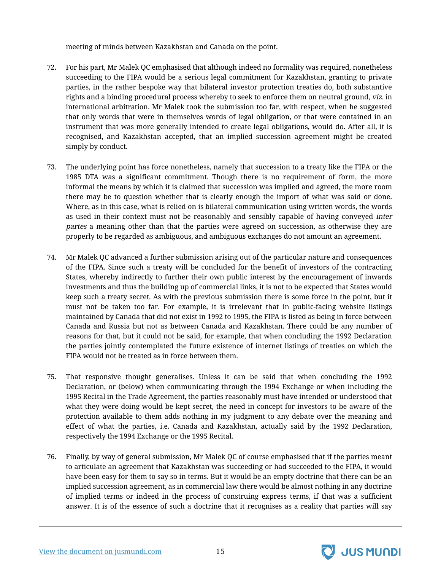meeting of minds between Kazakhstan and Canada on the point.

- 72. For his part, Mr Malek QC emphasised that although indeed no formality was required, nonetheless succeeding to the FIPA would be a serious legal commitment for Kazakhstan, granting to private parties, in the rather bespoke way that bilateral investor protection treaties do, both substantive rights and a binding procedural process whereby to seek to enforce them on neutral ground, viz. in international arbitration. Mr Malek took the submission too far, with respect, when he suggested that only words that were in themselves words of legal obligation, or that were contained in an instrument that was more generally intended to create legal obligations, would do. After all, it is recognised, and Kazakhstan accepted, that an implied succession agreement might be created simply by conduct.
- 73. The underlying point has force nonetheless, namely that succession to a treaty like the FIPA or the 1985 DTA was a significant commitment. Though there is no requirement of form, the more informal the means by which it is claimed that succession was implied and agreed, the more room there may be to question whether that is clearly enough the import of what was said or done. Where, as in this case, what is relied on is bilateral communication using written words, the words as used in their context must not be reasonably and sensibly capable of having conveyed inter partes a meaning other than that the parties were agreed on succession, as otherwise they are properly to be regarded as ambiguous, and ambiguous exchanges do not amount an agreement.
- 74. Mr Malek QC advanced a further submission arising out of the particular nature and consequences of the FIPA. Since such a treaty will be concluded for the benefit of investors of the contracting States, whereby indirectly to further their own public interest by the encouragement of inwards investments and thus the building up of commercial links, it is not to be expected that States would keep such a treaty secret. As with the previous submission there is some force in the point, but it must not be taken too far. For example, it is irrelevant that in public-facing website listings maintained by Canada that did not exist in 1992 to 1995, the FIPA is listed as being in force between Canada and Russia but not as between Canada and Kazakhstan. There could be any number of reasons for that, but it could not be said, for example, that when concluding the 1992 Declaration the parties jointly contemplated the future existence of internet listings of treaties on which the FIPA would not be treated as in force between them.
- 75. That responsive thought generalises. Unless it can be said that when concluding the 1992 Declaration, or (below) when communicating through the 1994 Exchange or when including the 1995 Recital in the Trade Agreement, the parties reasonably must have intended or understood that what they were doing would be kept secret, the need in concept for investors to be aware of the protection available to them adds nothing in my judgment to any debate over the meaning and effect of what the parties, i.e. Canada and Kazakhstan, actually said by the 1992 Declaration, respectively the 1994 Exchange or the 1995 Recital.
- 76. Finally, by way of general submission, Mr Malek QC of course emphasised that if the parties meant to articulate an agreement that Kazakhstan was succeeding or had succeeded to the FIPA, it would have been easy for them to say so in terms. But it would be an empty doctrine that there can be an implied succession agreement, as in commercial law there would be almost nothing in any doctrine of implied terms or indeed in the process of construing express terms, if that was a sufficient answer. It is of the essence of such a doctrine that it recognises as a reality that parties will say

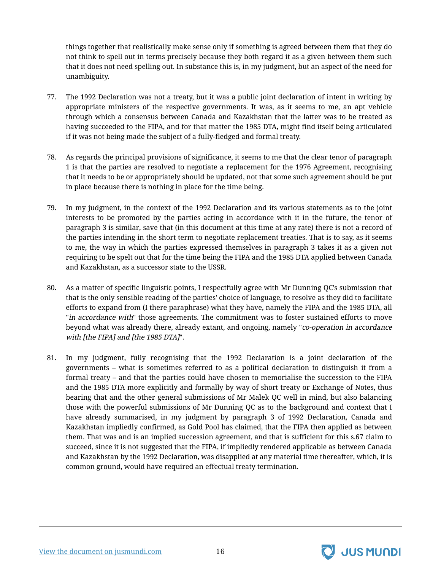things together that realistically make sense only if something is agreed between them that they do not think to spell out in terms precisely because they both regard it as a given between them such that it does not need spelling out. In substance this is, in my judgment, but an aspect of the need for unambiguity.

- 77. The 1992 Declaration was not a treaty, but it was a public joint declaration of intent in writing by appropriate ministers of the respective governments. It was, as it seems to me, an apt vehicle through which a consensus between Canada and Kazakhstan that the latter was to be treated as having succeeded to the FIPA, and for that matter the 1985 DTA, might find itself being articulated if it was not being made the subject of a fully-fledged and formal treaty.
- 78. As regards the principal provisions of significance, it seems to me that the clear tenor of paragraph 1 is that the parties are resolved to negotiate a replacement for the 1976 Agreement, recognising that it needs to be or appropriately should be updated, not that some such agreement should be put in place because there is nothing in place for the time being.
- 79. In my judgment, in the context of the 1992 Declaration and its various statements as to the joint interests to be promoted by the parties acting in accordance with it in the future, the tenor of paragraph 3 is similar, save that (in this document at this time at any rate) there is not a record of the parties intending in the short term to negotiate replacement treaties. That is to say, as it seems to me, the way in which the parties expressed themselves in paragraph 3 takes it as a given not requiring to be spelt out that for the time being the FIPA and the 1985 DTA applied between Canada and Kazakhstan, as a successor state to the USSR.
- 80. As a matter of specific linguistic points, I respectfully agree with Mr Dunning QC's submission that that is the only sensible reading of the parties' choice of language, to resolve as they did to facilitate efforts to expand from (I there paraphrase) what they have, namely the FIPA and the 1985 DTA, all "in accordance with" those agreements. The commitment was to foster sustained efforts to move beyond what was already there, already extant, and ongoing, namely "co-operation in accordance with [the FIPA] and [the 1985 DTA]".
- 81. In my judgment, fully recognising that the 1992 Declaration is a joint declaration of the governments – what is sometimes referred to as a political declaration to distinguish it from a formal treaty – and that the parties could have chosen to memorialise the succession to the FIPA and the 1985 DTA more explicitly and formally by way of short treaty or Exchange of Notes, thus bearing that and the other general submissions of Mr Malek QC well in mind, but also balancing those with the powerful submissions of Mr Dunning QC as to the background and context that I have already summarised, in my judgment by paragraph 3 of 1992 Declaration, Canada and Kazakhstan impliedly confirmed, as Gold Pool has claimed, that the FIPA then applied as between them. That was and is an implied succession agreement, and that is sufficient for this s.67 claim to succeed, since it is not suggested that the FIPA, if impliedly rendered applicable as between Canada and Kazakhstan by the 1992 Declaration, was disapplied at any material time thereafter, which, it is common ground, would have required an effectual treaty termination.

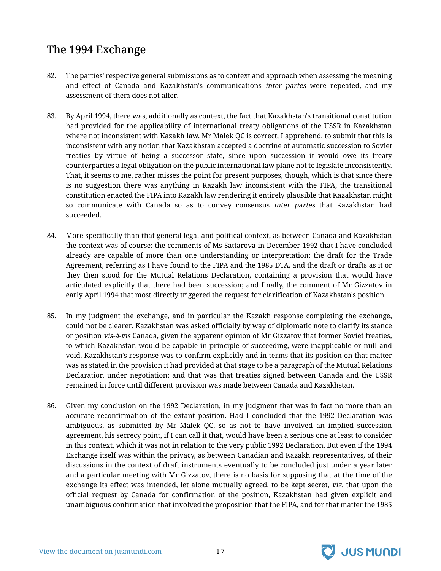## <span id="page-18-0"></span>The 1994 Exchange

- 82. The parties' respective general submissions as to context and approach when assessing the meaning and effect of Canada and Kazakhstan's communications inter partes were repeated, and my assessment of them does not alter.
- 83. By April 1994, there was, additionally as context, the fact that Kazakhstan's transitional constitution had provided for the applicability of international treaty obligations of the USSR in Kazakhstan where not inconsistent with Kazakh law. Mr Malek QC is correct, I apprehend, to submit that this is inconsistent with any notion that Kazakhstan accepted a doctrine of automatic succession to Soviet treaties by virtue of being a successor state, since upon succession it would owe its treaty counterparties a legal obligation on the public international law plane not to legislate inconsistently. That, it seems to me, rather misses the point for present purposes, though, which is that since there is no suggestion there was anything in Kazakh law inconsistent with the FIPA, the transitional constitution enacted the FIPA into Kazakh law rendering it entirely plausible that Kazakhstan might so communicate with Canada so as to convey consensus *inter partes* that Kazakhstan had succeeded.
- 84. More specifically than that general legal and political context, as between Canada and Kazakhstan the context was of course: the comments of Ms Sattarova in December 1992 that I have concluded already are capable of more than one understanding or interpretation; the draft for the Trade Agreement, referring as I have found to the FIPA and the 1985 DTA, and the draft or drafts as it or they then stood for the Mutual Relations Declaration, containing a provision that would have articulated explicitly that there had been succession; and finally, the comment of Mr Gizzatov in early April 1994 that most directly triggered the request for clarification of Kazakhstan's position.
- 85. In my judgment the exchange, and in particular the Kazakh response completing the exchange, could not be clearer. Kazakhstan was asked officially by way of diplomatic note to clarify its stance or position vis-à-vis Canada, given the apparent opinion of Mr Gizzatov that former Soviet treaties, to which Kazakhstan would be capable in principle of succeeding, were inapplicable or null and void. Kazakhstan's response was to confirm explicitly and in terms that its position on that matter was as stated in the provision it had provided at that stage to be a paragraph of the Mutual Relations Declaration under negotiation; and that was that treaties signed between Canada and the USSR remained in force until different provision was made between Canada and Kazakhstan.
- 86. Given my conclusion on the 1992 Declaration, in my judgment that was in fact no more than an accurate reconfirmation of the extant position. Had I concluded that the 1992 Declaration was ambiguous, as submitted by Mr Malek QC, so as not to have involved an implied succession agreement, his secrecy point, if I can call it that, would have been a serious one at least to consider in this context, which it was not in relation to the very public 1992 Declaration. But even if the 1994 Exchange itself was within the privacy, as between Canadian and Kazakh representatives, of their discussions in the context of draft instruments eventually to be concluded just under a year later and a particular meeting with Mr Gizzatov, there is no basis for supposing that at the time of the exchange its effect was intended, let alone mutually agreed, to be kept secret, viz. that upon the official request by Canada for confirmation of the position, Kazakhstan had given explicit and unambiguous confirmation that involved the proposition that the FIPA, and for that matter the 1985

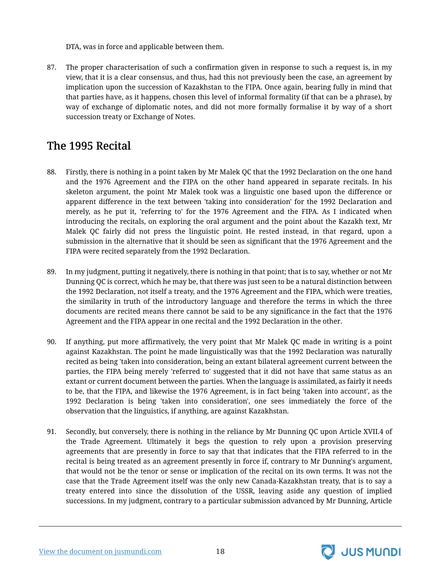DTA, was in force and applicable between them.

87. The proper characterisation of such a confirmation given in response to such a request is, in my view, that it is a clear consensus, and thus, had this not previously been the case, an agreement by implication upon the succession of Kazakhstan to the FIPA. Once again, bearing fully in mind that that parties have, as it happens, chosen this level of informal formality (if that can be a phrase), by way of exchange of diplomatic notes, and did not more formally formalise it by way of a short succession treaty or Exchange of Notes.

### <span id="page-19-0"></span>The 1995 Recital

- 88. Firstly, there is nothing in a point taken by Mr Malek QC that the 1992 Declaration on the one hand and the 1976 Agreement and the FIPA on the other hand appeared in separate recitals. In his skeleton argument, the point Mr Malek took was a linguistic one based upon the difference or apparent difference in the text between 'taking into consideration' for the 1992 Declaration and merely, as he put it, 'referring to' for the 1976 Agreement and the FIPA. As I indicated when introducing the recitals, on exploring the oral argument and the point about the Kazakh text, Mr Malek QC fairly did not press the linguistic point. He rested instead, in that regard, upon a submission in the alternative that it should be seen as significant that the 1976 Agreement and the FIPA were recited separately from the 1992 Declaration.
- 89. In my judgment, putting it negatively, there is nothing in that point; that is to say, whether or not Mr Dunning QC is correct, which he may be, that there was just seen to be a natural distinction between the 1992 Declaration, not itself a treaty, and the 1976 Agreement and the FIPA, which were treaties, the similarity in truth of the introductory language and therefore the terms in which the three documents are recited means there cannot be said to be any significance in the fact that the 1976 Agreement and the FIPA appear in one recital and the 1992 Declaration in the other.
- 90. If anything, put more affirmatively, the very point that Mr Malek QC made in writing is a point against Kazakhstan. The point he made linguistically was that the 1992 Declaration was naturally recited as being 'taken into consideration, being an extant bilateral agreement current between the parties, the FIPA being merely 'referred to' suggested that it did not have that same status as an extant or current document between the parties. When the language is assimilated, as fairly it needs to be, that the FIPA, and likewise the 1976 Agreement, is in fact being 'taken into account', as the 1992 Declaration is being 'taken into consideration', one sees immediately the force of the observation that the linguistics, if anything, are against Kazakhstan.
- 91. Secondly, but conversely, there is nothing in the reliance by Mr Dunning QC upon Article XVII.4 of the Trade Agreement. Ultimately it begs the question to rely upon a provision preserving agreements that are presently in force to say that that indicates that the FIPA referred to in the recital is being treated as an agreement presently in force if, contrary to Mr Dunning's argument, that would not be the tenor or sense or implication of the recital on its own terms. It was not the case that the Trade Agreement itself was the only new Canada-Kazakhstan treaty, that is to say a treaty entered into since the dissolution of the USSR, leaving aside any question of implied successions. In my judgment, contrary to a particular submission advanced by Mr Dunning, Article



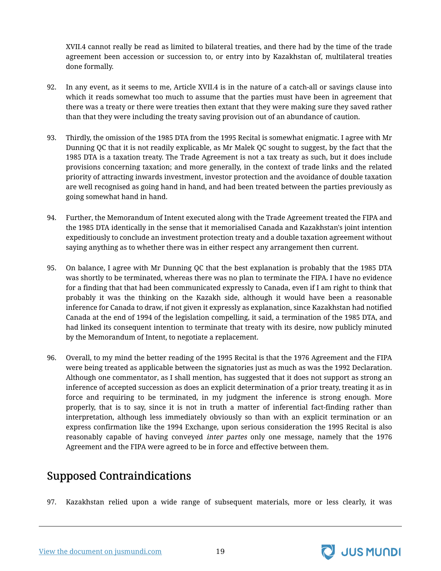XVII.4 cannot really be read as limited to bilateral treaties, and there had by the time of the trade agreement been accession or succession to, or entry into by Kazakhstan of, multilateral treaties done formally.

- 92. In any event, as it seems to me, Article XVII.4 is in the nature of a catch-all or savings clause into which it reads somewhat too much to assume that the parties must have been in agreement that there was a treaty or there were treaties then extant that they were making sure they saved rather than that they were including the treaty saving provision out of an abundance of caution.
- 93. Thirdly, the omission of the 1985 DTA from the 1995 Recital is somewhat enigmatic. I agree with Mr Dunning QC that it is not readily explicable, as Mr Malek QC sought to suggest, by the fact that the 1985 DTA is a taxation treaty. The Trade Agreement is not a tax treaty as such, but it does include provisions concerning taxation; and more generally, in the context of trade links and the related priority of attracting inwards investment, investor protection and the avoidance of double taxation are well recognised as going hand in hand, and had been treated between the parties previously as going somewhat hand in hand.
- 94. Further, the Memorandum of Intent executed along with the Trade Agreement treated the FIPA and the 1985 DTA identically in the sense that it memorialised Canada and Kazakhstan's joint intention expeditiously to conclude an investment protection treaty and a double taxation agreement without saying anything as to whether there was in either respect any arrangement then current.
- 95. On balance, I agree with Mr Dunning QC that the best explanation is probably that the 1985 DTA was shortly to be terminated, whereas there was no plan to terminate the FIPA. I have no evidence for a finding that that had been communicated expressly to Canada, even if I am right to think that probably it was the thinking on the Kazakh side, although it would have been a reasonable inference for Canada to draw, if not given it expressly as explanation, since Kazakhstan had notified Canada at the end of 1994 of the legislation compelling, it said, a termination of the 1985 DTA, and had linked its consequent intention to terminate that treaty with its desire, now publicly minuted by the Memorandum of Intent, to negotiate a replacement.
- 96. Overall, to my mind the better reading of the 1995 Recital is that the 1976 Agreement and the FIPA were being treated as applicable between the signatories just as much as was the 1992 Declaration. Although one commentator, as I shall mention, has suggested that it does not support as strong an inference of accepted succession as does an explicit determination of a prior treaty, treating it as in force and requiring to be terminated, in my judgment the inference is strong enough. More properly, that is to say, since it is not in truth a matter of inferential fact-finding rather than interpretation, although less immediately obviously so than with an explicit termination or an express confirmation like the 1994 Exchange, upon serious consideration the 1995 Recital is also reasonably capable of having conveyed *inter partes* only one message, namely that the 1976 Agreement and the FIPA were agreed to be in force and effective between them.

## <span id="page-20-0"></span>Supposed Contraindications

97. Kazakhstan relied upon a wide range of subsequent materials, more or less clearly, it was



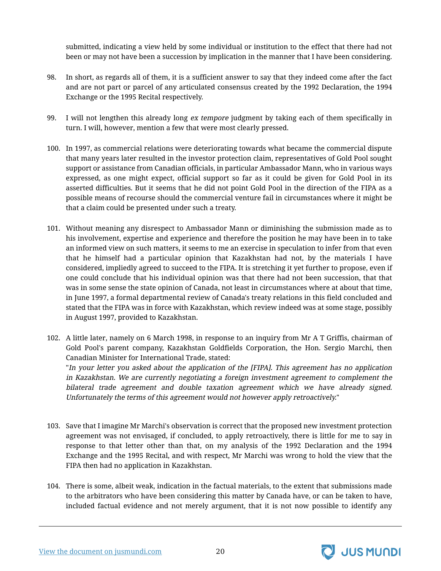submitted, indicating a view held by some individual or institution to the effect that there had not been or may not have been a succession by implication in the manner that I have been considering.

- 98. In short, as regards all of them, it is a sufficient answer to say that they indeed come after the fact and are not part or parcel of any articulated consensus created by the 1992 Declaration, the 1994 Exchange or the 1995 Recital respectively.
- 99. I will not lengthen this already long *ex tempore* judgment by taking each of them specifically in turn. I will, however, mention a few that were most clearly pressed.
- 100. In 1997, as commercial relations were deteriorating towards what became the commercial dispute that many years later resulted in the investor protection claim, representatives of Gold Pool sought support or assistance from Canadian officials, in particular Ambassador Mann, who in various ways expressed, as one might expect, official support so far as it could be given for Gold Pool in its asserted difficulties. But it seems that he did not point Gold Pool in the direction of the FIPA as a possible means of recourse should the commercial venture fail in circumstances where it might be that a claim could be presented under such a treaty.
- 101. Without meaning any disrespect to Ambassador Mann or diminishing the submission made as to his involvement, expertise and experience and therefore the position he may have been in to take an informed view on such matters, it seems to me an exercise in speculation to infer from that even that he himself had a particular opinion that Kazakhstan had not, by the materials I have considered, impliedly agreed to succeed to the FIPA. It is stretching it yet further to propose, even if one could conclude that his individual opinion was that there had not been succession, that that was in some sense the state opinion of Canada, not least in circumstances where at about that time, in June 1997, a formal departmental review of Canada's treaty relations in this field concluded and stated that the FIPA was in force with Kazakhstan, which review indeed was at some stage, possibly in August 1997, provided to Kazakhstan.
- 102. A little later, namely on 6 March 1998, in response to an inquiry from Mr A T Griffis, chairman of Gold Pool's parent company, Kazakhstan Goldfields Corporation, the Hon. Sergio Marchi, then Canadian Minister for International Trade, stated: "In your letter you asked about the application of the [FIPA]. This agreement has no application in Kazakhstan. We are currently negotiating <sup>a</sup> foreign investment agreement to complement the

bilateral trade agreement and double taxation agreement which we have already signed. Unfortunately the terms of this agreement would not however apply retroactively."

- 103. Save that I imagine Mr Marchi's observation is correct that the proposed new investment protection agreement was not envisaged, if concluded, to apply retroactively, there is little for me to say in response to that letter other than that, on my analysis of the 1992 Declaration and the 1994 Exchange and the 1995 Recital, and with respect, Mr Marchi was wrong to hold the view that the FIPA then had no application in Kazakhstan.
- 104. There is some, albeit weak, indication in the factual materials, to the extent that submissions made to the arbitrators who have been considering this matter by Canada have, or can be taken to have, included factual evidence and not merely argument, that it is not now possible to identify any

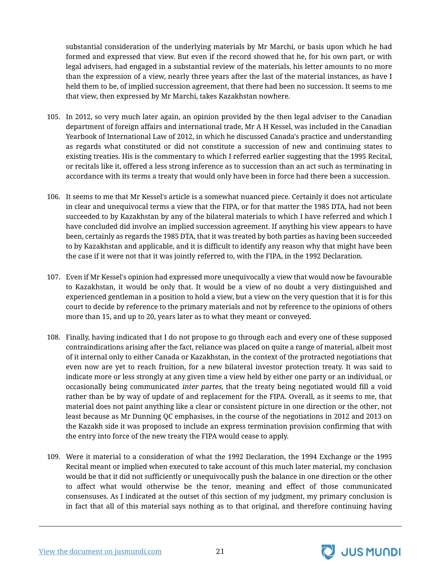substantial consideration of the underlying materials by Mr Marchi, or basis upon which he had formed and expressed that view. But even if the record showed that he, for his own part, or with legal advisers, had engaged in a substantial review of the materials, his letter amounts to no more than the expression of a view, nearly three years after the last of the material instances, as have I held them to be, of implied succession agreement, that there had been no succession. It seems to me that view, then expressed by Mr Marchi, takes Kazakhstan nowhere.

- 105. In 2012, so very much later again, an opinion provided by the then legal adviser to the Canadian department of foreign affairs and international trade, Mr A H Kessel, was included in the Canadian Yearbook of International Law of 2012, in which he discussed Canada's practice and understanding as regards what constituted or did not constitute a succession of new and continuing states to existing treaties. His is the commentary to which I referred earlier suggesting that the 1995 Recital, or recitals like it, offered a less strong inference as to succession than an act such as terminating in accordance with its terms a treaty that would only have been in force had there been a succession.
- 106. It seems to me that Mr Kessel's article is a somewhat nuanced piece. Certainly it does not articulate in clear and unequivocal terms a view that the FIPA, or for that matter the 1985 DTA, had not been succeeded to by Kazakhstan by any of the bilateral materials to which I have referred and which I have concluded did involve an implied succession agreement. If anything his view appears to have been, certainly as regards the 1985 DTA, that it was treated by both parties as having been succeeded to by Kazakhstan and applicable, and it is difficult to identify any reason why that might have been the case if it were not that it was jointly referred to, with the FIPA, in the 1992 Declaration.
- 107. Even if Mr Kessel's opinion had expressed more unequivocally a view that would now be favourable to Kazakhstan, it would be only that. It would be a view of no doubt a very distinguished and experienced gentleman in a position to hold a view, but a view on the very question that it is for this court to decide by reference to the primary materials and not by reference to the opinions of others more than 15, and up to 20, years later as to what they meant or conveyed.
- 108. Finally, having indicated that I do not propose to go through each and every one of these supposed contraindications arising after the fact, reliance was placed on quite a range of material, albeit most of it internal only to either Canada or Kazakhstan, in the context of the protracted negotiations that even now are yet to reach fruition, for a new bilateral investor protection treaty. It was said to indicate more or less strongly at any given time a view held by either one party or an individual, or occasionally being communicated inter partes, that the treaty being negotiated would fill a void rather than be by way of update of and replacement for the FIPA. Overall, as it seems to me, that material does not paint anything like a clear or consistent picture in one direction or the other, not least because as Mr Dunning QC emphasises, in the course of the negotiations in 2012 and 2013 on the Kazakh side it was proposed to include an express termination provision confirming that with the entry into force of the new treaty the FIPA would cease to apply.
- 109. Were it material to a consideration of what the 1992 Declaration, the 1994 Exchange or the 1995 Recital meant or implied when executed to take account of this much later material, my conclusion would be that it did not sufficiently or unequivocally push the balance in one direction or the other to affect what would otherwise be the tenor, meaning and effect of those communicated consensuses. As I indicated at the outset of this section of my judgment, my primary conclusion is in fact that all of this material says nothing as to that original, and therefore continuing having



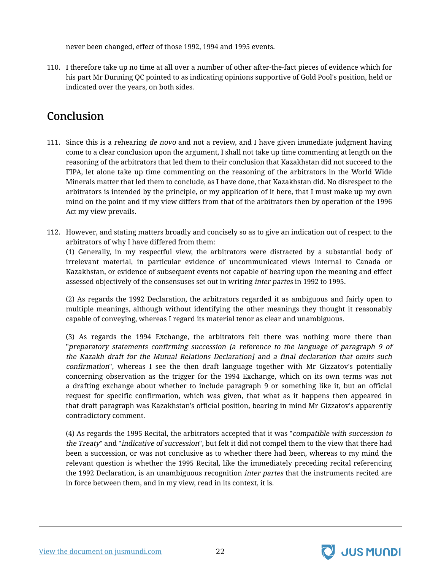never been changed, effect of those 1992, 1994 and 1995 events.

110. I therefore take up no time at all over a number of other after-the-fact pieces of evidence which for his part Mr Dunning QC pointed to as indicating opinions supportive of Gold Pool's position, held or indicated over the years, on both sides.

## <span id="page-23-0"></span>Conclusion

- 111. Since this is a rehearing *de novo* and not a review, and I have given immediate judgment having come to a clear conclusion upon the argument, I shall not take up time commenting at length on the reasoning of the arbitrators that led them to their conclusion that Kazakhstan did not succeed to the FIPA, let alone take up time commenting on the reasoning of the arbitrators in the World Wide Minerals matter that led them to conclude, as I have done, that Kazakhstan did. No disrespect to the arbitrators is intended by the principle, or my application of it here, that I must make up my own mind on the point and if my view differs from that of the arbitrators then by operation of the 1996 Act my view prevails.
- 112. However, and stating matters broadly and concisely so as to give an indication out of respect to the arbitrators of why I have differed from them:

(1) Generally, in my respectful view, the arbitrators were distracted by a substantial body of irrelevant material, in particular evidence of uncommunicated views internal to Canada or Kazakhstan, or evidence of subsequent events not capable of bearing upon the meaning and effect assessed objectively of the consensuses set out in writing inter partes in 1992 to 1995.

(2) As regards the 1992 Declaration, the arbitrators regarded it as ambiguous and fairly open to multiple meanings, although without identifying the other meanings they thought it reasonably capable of conveying, whereas I regard its material tenor as clear and unambiguous.

(3) As regards the 1994 Exchange, the arbitrators felt there was nothing more there than "preparatory statements confirming succession [a reference to the language of paragraph 9 of the Kazakh draft for the Mutual Relations Declaration] and <sup>a</sup> final declaration that omits such confirmation", whereas I see the then draft language together with Mr Gizzatov's potentially concerning observation as the trigger for the 1994 Exchange, which on its own terms was not a drafting exchange about whether to include paragraph 9 or something like it, but an official request for specific confirmation, which was given, that what as it happens then appeared in that draft paragraph was Kazakhstan's official position, bearing in mind Mr Gizzatov's apparently contradictory comment.

(4) As regards the 1995 Recital, the arbitrators accepted that it was "compatible with succession to the Treaty" and "indicative of succession", but felt it did not compel them to the view that there had been a succession, or was not conclusive as to whether there had been, whereas to my mind the relevant question is whether the 1995 Recital, like the immediately preceding recital referencing the 1992 Declaration, is an unambiguous recognition *inter partes* that the instruments recited are in force between them, and in my view, read in its context, it is.